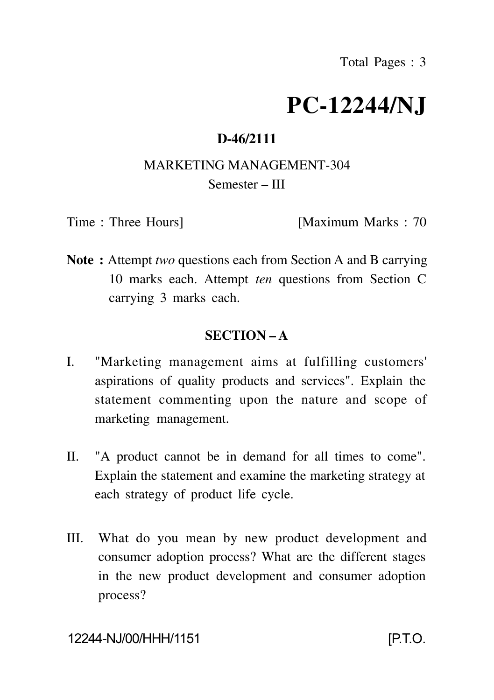# **PC-12244/NJ**

# **D-46/2111**

# MARKETING MANAGEMENT-304 Semester – III

Time : Three Hours [Maximum Marks : 70

**Note :** Attempt *two* questions each from Section A and B carrying 10 marks each. Attempt *ten* questions from Section C carrying 3 marks each.

# **SECTION – A**

- I. "Marketing management aims at fulfilling customers' aspirations of quality products and services". Explain the statement commenting upon the nature and scope of marketing management.
- II. "A product cannot be in demand for all times to come". Explain the statement and examine the marketing strategy at each strategy of product life cycle.
- III. What do you mean by new product development and consumer adoption process? What are the different stages in the new product development and consumer adoption process?

## 12244-NJ/00/HHH/1151 [P.T.O.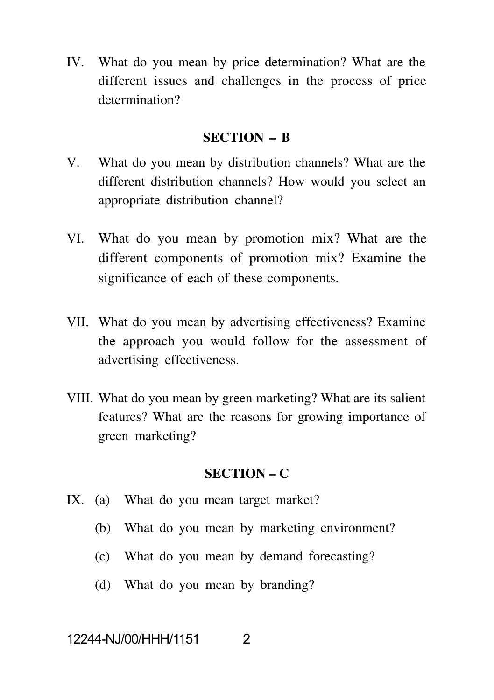IV. What do you mean by price determination? What are the different issues and challenges in the process of price determination?

#### **SECTION – B**

- V. What do you mean by distribution channels? What are the different distribution channels? How would you select an appropriate distribution channel?
- VI. What do you mean by promotion mix? What are the different components of promotion mix? Examine the significance of each of these components.
- VII. What do you mean by advertising effectiveness? Examine the approach you would follow for the assessment of advertising effectiveness.
- VIII. What do you mean by green marketing? What are its salient features? What are the reasons for growing importance of green marketing?

## **SECTION – C**

- IX. (a) What do you mean target market?
	- (b) What do you mean by marketing environment?
	- (c) What do you mean by demand forecasting?
	- (d) What do you mean by branding?

## 12244-NJ/00/HHH/1151 2